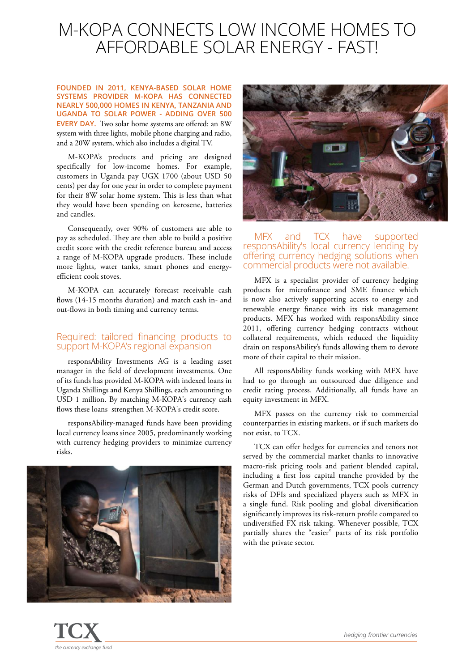## M-KOPA CONNECTS LOW INCOME HOMES TO AFFORDABLE SOLAR ENERGY - FAST!

**FOUNDED IN 2011, KENYA-BASED SOLAR HOME SYSTEMS PROVIDER M-KOPA HAS CONNECTED NEARLY 500,000 HOMES IN KENYA, TANZANIA AND UGANDA TO SOLAR POWER - ADDING OVER 500 EVERY DAY.** Two solar home systems are offered: an 8W system with three lights, mobile phone charging and radio, and a 20W system, which also includes a digital TV.

M-KOPA's products and pricing are designed specifically for low-income homes. For example, customers in Uganda pay UGX 1700 (about USD 50 cents) per day for one year in order to complete payment for their 8W solar home system. This is less than what they would have been spending on kerosene, batteries and candles.

Consequently, over 90% of customers are able to pay as scheduled. They are then able to build a positive credit score with the credit reference bureau and access a range of M-KOPA upgrade products. These include more lights, water tanks, smart phones and energyefficient cook stoves.

M-KOPA can accurately forecast receivable cash flows (14-15 months duration) and match cash in- and out-flows in both timing and currency terms.

#### Required: tailored financing products to support M-KOPA's regional expansion

responsAbility Investments AG is a leading asset manager in the field of development investments. One of its funds has provided M-KOPA with indexed loans in Uganda Shillings and Kenya Shillings, each amounting to USD 1 million. By matching M-KOPA's currency cash flows these loans strengthen M-KOPA's credit score.

responsAbility-managed funds have been providing local currency loans since 2005, predominantly working with currency hedging providers to minimize currency risks.





### MFX and TCX have supported responsAbility's local currency lending by offering currency hedging solutions when commercial products were not available.

MFX is a specialist provider of currency hedging products for microfinance and SME finance which is now also actively supporting access to energy and renewable energy finance with its risk management products. MFX has worked with responsAbility since 2011, offering currency hedging contracts without collateral requirements, which reduced the liquidity drain on responsAbility's funds allowing them to devote more of their capital to their mission.

All responsAbility funds working with MFX have had to go through an outsourced due diligence and credit rating process. Additionally, all funds have an equity investment in MFX.

MFX passes on the currency risk to commercial counterparties in existing markets, or if such markets do not exist, to TCX.

TCX can offer hedges for currencies and tenors not served by the commercial market thanks to innovative macro-risk pricing tools and patient blended capital, including a first loss capital tranche provided by the German and Dutch governments, TCX pools currency risks of DFIs and specialized players such as MFX in a single fund. Risk pooling and global diversification significantly improves its risk-return profile compared to undiversified FX risk taking. Whenever possible, TCX partially shares the "easier" parts of its risk portfolio with the private sector.